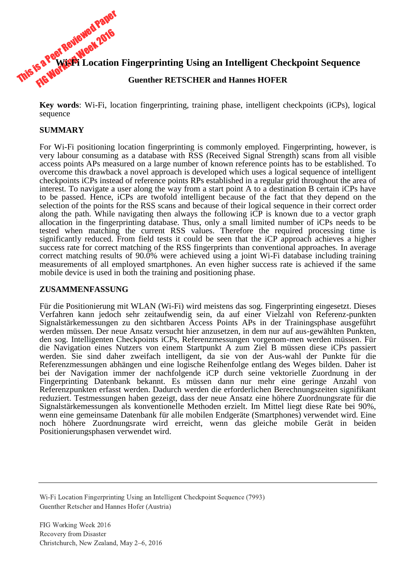

**Key words**: Wi-Fi, location fingerprinting, training phase, intelligent checkpoints (iCPs), logical sequence

### **SUMMARY**

For Wi-Fi positioning location fingerprinting is commonly employed. Fingerprinting, however, is very labour consuming as a database with RSS (Received Signal Strength) scans from all visible access points APs measured on a large number of known reference points has to be established. To overcome this drawback a novel approach is developed which uses a logical sequence of intelligent checkpoints iCPs instead of reference points RPs established in a regular grid throughout the area of interest. To navigate a user along the way from a start point A to a destination B certain iCPs have to be passed. Hence, iCPs are twofold intelligent because of the fact that they depend on the selection of the points for the RSS scans and because of their logical sequence in their correct order along the path. While navigating then always the following iCP is known due to a vector graph allocation in the fingerprinting database. Thus, only a small limited number of iCPs needs to be tested when matching the current RSS values. Therefore the required processing time is significantly reduced. From field tests it could be seen that the iCP approach achieves a higher success rate for correct matching of the RSS fingerprints than conventional approaches. In average correct matching results of 90.0% were achieved using a joint Wi-Fi database including training measurements of all employed smartphones. An even higher success rate is achieved if the same mobile device is used in both the training and positioning phase.

#### **ZUSAMMENFASSUNG**

Für die Positionierung mit WLAN (Wi-Fi) wird meistens das sog. Fingerprinting eingesetzt. Dieses Verfahren kann jedoch sehr zeitaufwendig sein, da auf einer Vielzahl von Referenz-punkten Signalstärkemessungen zu den sichtbaren Access Points APs in der Trainingsphase ausgeführt werden müssen. Der neue Ansatz versucht hier anzusetzen, in dem nur auf aus-gewählten Punkten, den sog. Intelligenten Checkpoints iCPs, Referenzmessungen vorgenom-men werden müssen. Für die Navigation eines Nutzers von einem Startpunkt A zum Ziel B müssen diese iCPs passiert werden. Sie sind daher zweifach intelligent, da sie von der Aus-wahl der Punkte für die Referenzmessungen abhängen und eine logische Reihenfolge entlang des Weges bilden. Daher ist bei der Navigation immer der nachfolgende iCP durch seine vektorielle Zuordnung in der Fingerprinting Datenbank bekannt. Es müssen dann nur mehr eine geringe Anzahl von Referenzpunkten erfasst werden. Dadurch werden die erforderlichen Berechnungszeiten signifikant reduziert. Testmessungen haben gezeigt, dass der neue Ansatz eine höhere Zuordnungsrate für die Signalstärkemessungen als konventionelle Methoden erzielt. Im Mittel liegt diese Rate bei 90%, wenn eine gemeinsame Datenbank für alle mobilen Endgeräte (Smartphones) verwendet wird. Eine noch höhere Zuordnungsrate wird erreicht, wenn das gleiche mobile Gerät in beiden Positionierungsphasen verwendet wird.

Wi-Fi Location Fingerprinting Using an Intelligent Checkpoint Sequence (7993) Guenther Retscher and Hannes Hofer (Austria)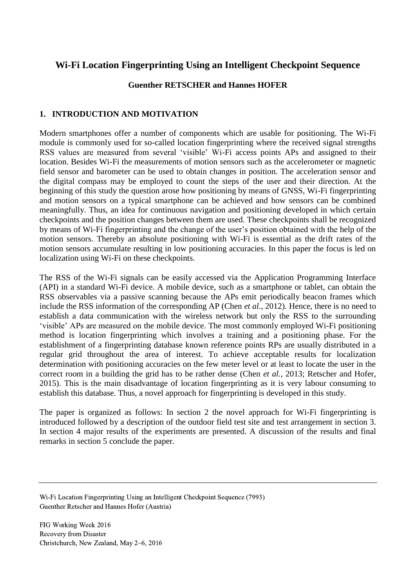# **Wi-Fi Location Fingerprinting Using an Intelligent Checkpoint Sequence**

## **Guenther RETSCHER and Hannes HOFER**

## **1. INTRODUCTION AND MOTIVATION**

Modern smartphones offer a number of components which are usable for positioning. The Wi-Fi module is commonly used for so-called location fingerprinting where the received signal strengths RSS values are measured from several 'visible' Wi-Fi access points APs and assigned to their location. Besides Wi-Fi the measurements of motion sensors such as the accelerometer or magnetic field sensor and barometer can be used to obtain changes in position. The acceleration sensor and the digital compass may be employed to count the steps of the user and their direction. At the beginning of this study the question arose how positioning by means of GNSS, Wi-Fi fingerprinting and motion sensors on a typical smartphone can be achieved and how sensors can be combined meaningfully. Thus, an idea for continuous navigation and positioning developed in which certain checkpoints and the position changes between them are used. These checkpoints shall be recognized by means of Wi-Fi fingerprinting and the change of the user's position obtained with the help of the motion sensors. Thereby an absolute positioning with Wi-Fi is essential as the drift rates of the motion sensors accumulate resulting in low positioning accuracies. In this paper the focus is led on localization using Wi-Fi on these checkpoints.

The RSS of the Wi-Fi signals can be easily accessed via the Application Programming Interface (API) in a standard Wi-Fi device. A mobile device, such as a smartphone or tablet, can obtain the RSS observables via a passive scanning because the APs emit periodically beacon frames which include the RSS information of the corresponding AP (Chen *et al*., 2012). Hence, there is no need to establish a data communication with the wireless network but only the RSS to the surrounding 'visible' APs are measured on the mobile device. The most commonly employed Wi-Fi positioning method is location fingerprinting which involves a training and a positioning phase. For the establishment of a fingerprinting database known reference points RPs are usually distributed in a regular grid throughout the area of interest. To achieve acceptable results for localization determination with positioning accuracies on the few meter level or at least to locate the user in the correct room in a building the grid has to be rather dense (Chen *et al.*, 2013; Retscher and Hofer, 2015). This is the main disadvantage of location fingerprinting as it is very labour consuming to establish this database. Thus, a novel approach for fingerprinting is developed in this study.

The paper is organized as follows: In section 2 the novel approach for Wi-Fi fingerprinting is introduced followed by a description of the outdoor field test site and test arrangement in section 3. In section 4 major results of the experiments are presented. A discussion of the results and final remarks in section 5 conclude the paper.

Wi-Fi Location Fingerprinting Using an Intelligent Checkpoint Sequence (7993) Guenther Retscher and Hannes Hofer (Austria)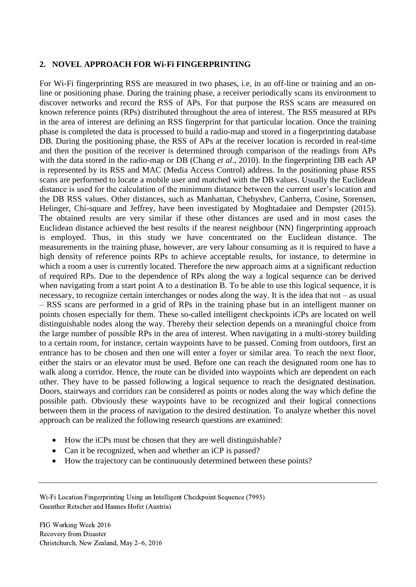#### **2. NOVEL APPROACH FOR Wi-Fi FINGERPRINTING**

For Wi-Fi fingerprinting RSS are measured in two phases, i.e, in an off-line or training and an online or positioning phase. During the training phase, a receiver periodically scans its environment to discover networks and record the RSS of APs. For that purpose the RSS scans are measured on known reference points (RPs) distributed throughout the area of interest. The RSS measured at RPs in the area of interest are defining an RSS fingerprint for that particular location. Once the training phase is completed the data is processed to build a radio-map and stored in a fingerprinting database DB. During the positioning phase, the RSS of APs at the receiver location is recorded in real-time and then the position of the receiver is determined through comparison of the readings from APs with the data stored in the radio-map or DB (Chang *et al*., 2010). In the fingerprinting DB each AP is represented by its RSS and MAC (Media Access Control) address. In the positioning phase RSS scans are performed to locate a mobile user and matched with the DB values. Usually the Euclidean distance is used for the calculation of the minimum distance between the current user's location and the DB RSS values. Other distances, such as Manhattan, Chebyshev, Canberra, Cosine, Sorensen, Helinger, Chi-square and Jeffrey, have been investigated by Moghtadaiee and Dempster (2015). The obtained results are very similar if these other distances are used and in most cases the Euclidean distance achieved the best results if the nearest neighbour (NN) fingerprinting approach is employed. Thus, in this study we have concentrated on the Euclidean distance. The measurements in the training phase, however, are very labour consuming as it is required to have a high density of reference points RPs to achieve acceptable results, for instance, to determine in which a room a user is currently located. Therefore the new approach aims at a significant reduction of required RPs. Due to the dependence of RPs along the way a logical sequence can be derived when navigating from a start point A to a destination B. To be able to use this logical sequence, it is necessary, to recognize certain interchanges or nodes along the way. It is the idea that not – as usual – RSS scans are performed in a grid of RPs in the training phase but in an intelligent manner on points chosen especially for them. These so-called intelligent checkpoints iCPs are located on well distinguishable nodes along the way. Thereby their selection depends on a meaningful choice from the large number of possible RPs in the area of interest. When navigating in a multi-storey building to a certain room, for instance, certain waypoints have to be passed. Coming from outdoors, first an entrance has to be chosen and then one will enter a foyer or similar area. To reach the next floor, either the stairs or an elevator must be used. Before one can reach the designated room one has to walk along a corridor. Hence, the route can be divided into waypoints which are dependent on each other. They have to be passed following a logical sequence to reach the designated destination. Doors, stairways and corridors can be considered as points or nodes along the way which define the possible path. Obviously these waypoints have to be recognized and their logical connections between them in the process of navigation to the desired destination. To analyze whether this novel approach can be realized the following research questions are examined:

- How the iCPs must be chosen that they are well distinguishable?
- Can it be recognized, when and whether an iCP is passed?
- How the trajectory can be continuously determined between these points?

Wi-Fi Location Fingerprinting Using an Intelligent Checkpoint Sequence (7993) Guenther Retscher and Hannes Hofer (Austria)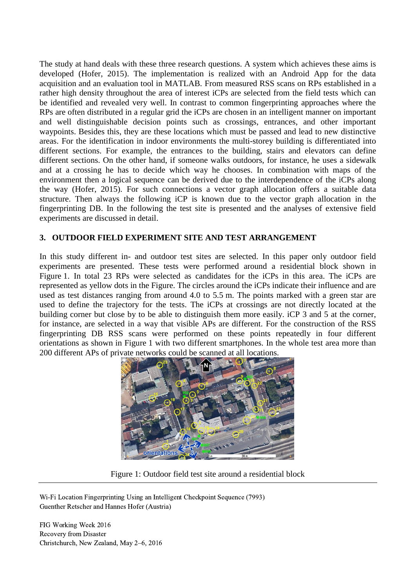The study at hand deals with these three research questions. A system which achieves these aims is developed (Hofer, 2015). The implementation is realized with an Android App for the data acquisition and an evaluation tool in MATLAB. From measured RSS scans on RPs established in a rather high density throughout the area of interest iCPs are selected from the field tests which can be identified and revealed very well. In contrast to common fingerprinting approaches where the RPs are often distributed in a regular grid the iCPs are chosen in an intelligent manner on important and well distinguishable decision points such as crossings, entrances, and other important waypoints. Besides this, they are these locations which must be passed and lead to new distinctive areas. For the identification in indoor environments the multi-storey building is differentiated into different sections. For example, the entrances to the building, stairs and elevators can define different sections. On the other hand, if someone walks outdoors, for instance, he uses a sidewalk and at a crossing he has to decide which way he chooses. In combination with maps of the environment then a logical sequence can be derived due to the interdependence of the iCPs along the way (Hofer, 2015). For such connections a vector graph allocation offers a suitable data structure. Then always the following iCP is known due to the vector graph allocation in the fingerprinting DB. In the following the test site is presented and the analyses of extensive field experiments are discussed in detail.

### **3. OUTDOOR FIELD EXPERIMENT SITE AND TEST ARRANGEMENT**

In this study different in- and outdoor test sites are selected. In this paper only outdoor field experiments are presented. These tests were performed around a residential block shown in Figure 1. In total 23 RPs were selected as candidates for the iCPs in this area. The iCPs are represented as yellow dots in the Figure. The circles around the iCPs indicate their influence and are used as test distances ranging from around 4.0 to 5.5 m. The points marked with a green star are used to define the trajectory for the tests. The iCPs at crossings are not directly located at the building corner but close by to be able to distinguish them more easily. iCP 3 and 5 at the corner, for instance, are selected in a way that visible APs are different. For the construction of the RSS fingerprinting DB RSS scans were performed on these points repeatedly in four different orientations as shown in Figure 1 with two different smartphones. In the whole test area more than 200 different APs of private networks could be scanned at all locations.



Figure 1: Outdoor field test site around a residential block

Wi-Fi Location Fingerprinting Using an Intelligent Checkpoint Sequence (7993) Guenther Retscher and Hannes Hofer (Austria)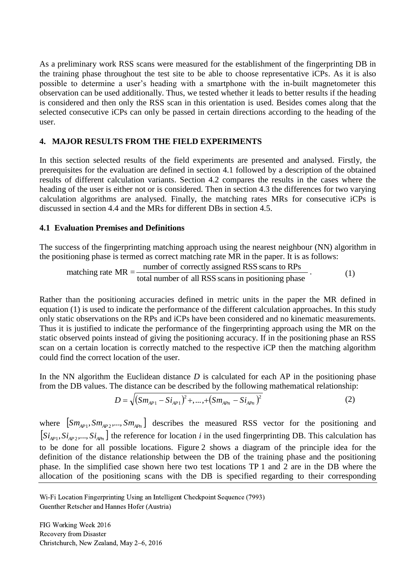As a preliminary work RSS scans were measured for the establishment of the fingerprinting DB in the training phase throughout the test site to be able to choose representative iCPs. As it is also possible to determine a user's heading with a smartphone with the in-built magnetometer this observation can be used additionally. Thus, we tested whether it leads to better results if the heading is considered and then only the RSS scan in this orientation is used. Besides comes along that the selected consecutive iCPs can only be passed in certain directions according to the heading of the user.

### **4. MAJOR RESULTS FROM THE FIELD EXPERIMENTS**

In this section selected results of the field experiments are presented and analysed. Firstly, the prerequisites for the evaluation are defined in section 4.1 followed by a description of the obtained results of different calculation variants. Section 4.2 compares the results in the cases where the heading of the user is either not or is considered. Then in section 4.3 the differences for two varying calculation algorithms are analysed. Finally, the matching rates MRs for consecutive iCPs is discussed in section 4.4 and the MRs for different DBs in section 4.5.

#### **4.1 Evaluation Premises and Definitions**

The success of the fingerprinting matching approach using the nearest neighbour (NN) algorithm in cess of the fingerprinting matching approach using the nearest neighb<br>tioning phase is termed as correct matching rate MR in the paper. It is<br>matching rate  $MR = \frac{number\ of\ correctly\ assigned\ RSS\ scans\ to\ RPs}{total\ number\ of\ all\ RSS\ scans\ in\ positioning\ phase}$ 

The success of the mgcphning matching approach using the nearest region (IVV) agent  
the positioning phase is termed as correct matching rate MR in the paper. It is as follows:  
matching rate MR = 
$$
\frac{\text{number of correctly assigned RSS scans to RPs}}{\text{total number of all RSS scans in positioning phase}}
$$
 (1)

Rather than the positioning accuracies defined in metric units in the paper the MR defined in equation (1) is used to indicate the performance of the different calculation approaches. In this study only static observations on the RPs and iCPs have been considered and no kinematic measurements. Thus it is justified to indicate the performance of the fingerprinting approach using the MR on the static observed points instead of giving the positioning accuracy. If in the positioning phase an RSS scan on a certain location is correctly matched to the respective iCP then the matching algorithm could find the correct location of the user.

In the NN algorithm the Euclidean distance *D* is calculated for each AP in the positioning phase

from the DB values. The distance can be described by the following mathematical relationship:  
\n
$$
D = \sqrt{(Sm_{AP1} - Si_{AP1})^2 + \dots + (Sm_{APn} - Si_{APn})^2}
$$
\n(2)

where  $\left[Sm_{AP1}, Sm_{AP2},...,Sm_{APn}\right]$  describes the measured RSS vector for the positioning and  $[S_i_{AP_1}, S_i_{AP_2},..., S_i_{AP_n}]$  the reference for location *i* in the used fingerprinting DB. This calculation has to be done for all possible locations. Figure 2 shows a diagram of the principle idea for the definition of the distance relationship between the DB of the training phase and the positioning phase. In the simplified case shown here two test locations TP 1 and 2 are in the DB where the allocation of the positioning scans with the DB is specified regarding to their corresponding

Wi-Fi Location Fingerprinting Using an Intelligent Checkpoint Sequence (7993) Guenther Retscher and Hannes Hofer (Austria)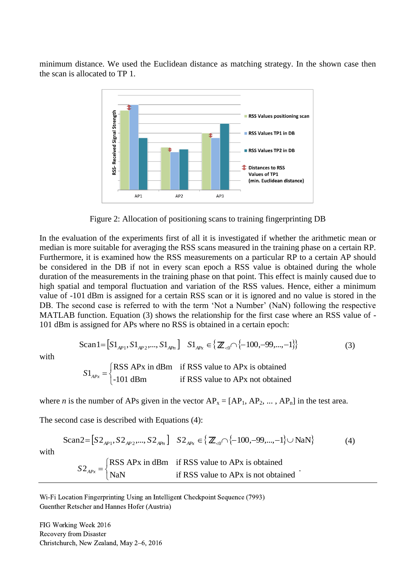minimum distance. We used the Euclidean distance as matching strategy. In the shown case then the scan is allocated to TP 1.



Figure 2: Allocation of positioning scans to training fingerprinting DB

In the evaluation of the experiments first of all it is investigated if whether the arithmetic mean or median is more suitable for averaging the RSS scans measured in the training phase on a certain RP. Furthermore, it is examined how the RSS measurements on a particular RP to a certain AP should be considered in the DB if not in every scan epoch a RSS value is obtained during the whole duration of the measurements in the training phase on that point. This effect is mainly caused due to high spatial and temporal fluctuation and variation of the RSS values. Hence, either a minimum value of -101 dBm is assigned for a certain RSS scan or it is ignored and no value is stored in the DB. The second case is referred to with the term 'Not a Number' (NaN) following the respective MATLAB function. Equation (3) shows the relationship for the first case where an RSS value of - 101 dBm is assigned for APs where no RSS is obtained in a certain epoch:

$$
\text{Scan1} = [S1_{AP1}, S1_{AP2}, \dots, S1_{APn}] \quad S1_{APx} \in \{ \mathbb{Z}_{\leq 0} \cap \{-100, -99, \dots, -1\} \}
$$
\n
$$
S1_{APx} = \begin{cases} \text{RSS APx in dBm} & \text{if RSS value to APx is obtained} \\ \text{S1}_{APx} & \text{if } P \text{S} \end{cases} \tag{3}
$$

$$
S1_{APx} = \begin{cases} \text{RSS APx in dBm} & \text{if RSS value to APx is obtained} \\ -101 \text{ dBm} & \text{if RSS value to APx not obtained} \end{cases}
$$

where *n* is the number of APs given in the vector  $AP_x = [AP_1, AP_2, \dots, AP_n]$  in the test area.

The second case is described with Equations (4):

$$
Scan2 = [S2AP1, S2AP2, ..., S2APn] S2APx \in \{Z0 \cap \{-100, -99, ..., -1\} \cup \text{NaN}\}\
$$
(4)  

$$
S2APx = \begin{cases} \text{RSS APx in dBm} & \text{if RSS value to APx is obtained} \\ \text{NaN} & \text{if RSS value to APx is not obtained} \end{cases}
$$

Wi-Fi Location Fingerprinting Using an Intelligent Checkpoint Sequence (7993) Guenther Retscher and Hannes Hofer (Austria)

FIG Working Week 2016 Recovery from Disaster Christchurch, New Zealand, May 2–6, 2016

with

with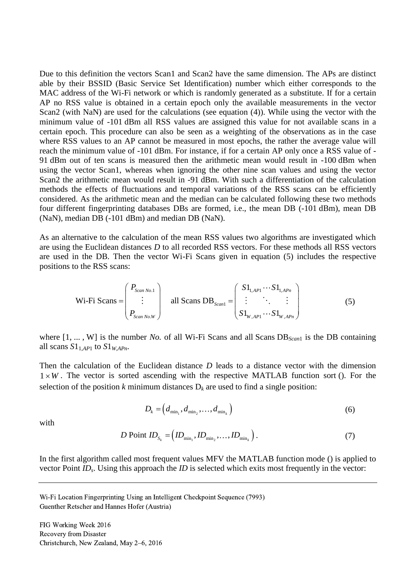Due to this definition the vectors Scan1 and Scan2 have the same dimension. The APs are distinct able by their BSSID (Basic Service Set Identification) number which either corresponds to the MAC address of the Wi-Fi network or which is randomly generated as a substitute. If for a certain AP no RSS value is obtained in a certain epoch only the available measurements in the vector Scan2 (with NaN) are used for the calculations (see equation (4)). While using the vector with the minimum value of -101 dBm all RSS values are assigned this value for not available scans in a certain epoch. This procedure can also be seen as a weighting of the observations as in the case where RSS values to an AP cannot be measured in most epochs, the rather the average value will reach the minimum value of -101 dBm. For instance, if for a certain AP only once a RSS value of - 91 dBm out of ten scans is measured then the arithmetic mean would result in -100 dBm when using the vector Scan1, whereas when ignoring the other nine scan values and using the vector Scan2 the arithmetic mean would result in -91 dBm. With such a differentiation of the calculation methods the effects of fluctuations and temporal variations of the RSS scans can be efficiently considered. As the arithmetic mean and the median can be calculated following these two methods four different fingerprinting databases DBs are formed, i.e., the mean DB (-101 dBm), mean DB (NaN), median DB (-101 dBm) and median DB (NaN).

As an alternative to the calculation of the mean RSS values two algorithms are investigated which are using the Euclidean distances *D* to all recorded RSS vectors. For these methods all RSS vectors are used in the DB. Then the vector Wi-Fi Scans given in equation (5) includes the respective positions to the RSS scans:

$$
\text{Wi-Fi Scans:} \begin{pmatrix} P_{\text{Scan No.1}} \\ \vdots \\ P_{\text{Scan No.W}} \end{pmatrix} \quad \text{all Scans DB}_{\text{Scan1}} = \begin{pmatrix} S1_{1,API} \cdots S1_{1,APn} \\ \vdots \\ S1_{W,API} \cdots S1_{W,APn} \end{pmatrix} \quad (5)
$$

where  $[1, ..., W]$  is the number *No.* of all Wi-Fi Scans and all Scans DB<sub>Scan1</sub> is the DB containing all scans  $S1_{1,API}$  to  $S1_{W,APn}$ .

Then the calculation of the Euclidean distance *D* leads to a distance vector with the dimension  $1 \times W$ . The vector is sorted ascending with the respective MATLAB function sort (). For the selection of the position  $k$  minimum distances  $D_k$  are used to find a single position:

$$
D_k = \left(d_{\min_1}, d_{\min_2}, \dots, d_{\min_k}\right) \tag{6}
$$

with

$$
D \text{ Point } ID_{S_k} = \left( ID_{\min_1}, ID_{\min_2}, \dots, ID_{\min_k} \right). \tag{7}
$$

In the first algorithm called most frequent values MFV the MATLAB function mode () is applied to vector Point *IDs*. Using this approach the *ID* is selected which exits most frequently in the vector:

Wi-Fi Location Fingerprinting Using an Intelligent Checkpoint Sequence (7993) Guenther Retscher and Hannes Hofer (Austria)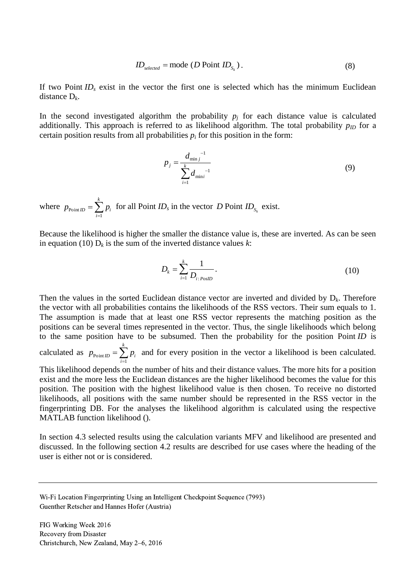$$
ID_{selected} = mode (D Point ID_{S_k}).
$$
\n(8)

If two Point *ID<sup>s</sup>* exist in the vector the first one is selected which has the minimum Euclidean distance D*k*.

In the second investigated algorithm the probability  $p_j$  for each distance value is calculated additionally. This approach is referred to as likelihood algorithm. The total probability  $p_{ID}$  for a certain position results from all probabilities  $p_i$  for this position in the form:

$$
p_{j} = \frac{d_{\min j}^{-1}}{\sum_{i=1}^{k} d_{\min i}^{-1}}
$$
(9)

where  $p_{\text{point}}$ 1 *k ID*  $-\angle P_i$ *i*  $p_{\text{Point }ID} = \sum p$  $f(x) = \sum_{i=1}^{n} p_i$  for all Point *ID<sub>s</sub>* in the vector *D* Point *ID<sub>S<sub>k</sub>*</sub> exist.

Because the likelihood is higher the smaller the distance value is, these are inverted. As can be seen in equation (10)  $D_k$  is the sum of the inverted distance values *k*:

$$
D_k = \sum_{i=1}^k \frac{1}{D_{i:\,\}}.
$$
 (10)

Then the values in the sorted Euclidean distance vector are inverted and divided by  $D_k$ . Therefore the vector with all probabilities contains the likelihoods of the RSS vectors. Their sum equals to 1. The assumption is made that at least one RSS vector represents the matching position as the positions can be several times represented in the vector. Thus, the single likelihoods which belong to the same position have to be subsumed. Then the probability for the position Point *ID* is calculated as  $p_{\text{point}}$ 1 *k ID*  $-\angle P_i$ *i*  $p_{\text{point }ID} = \sum p$  $=\sum_{i=1}^{n} p_i$  and for every position in the vector a likelihood is been calculated. This likelihood depends on the number of hits and their distance values. The more hits for a position

exist and the more less the Euclidean distances are the higher likelihood becomes the value for this position. The position with the highest likelihood value is then chosen. To receive no distorted likelihoods, all positions with the same number should be represented in the RSS vector in the fingerprinting DB. For the analyses the likelihood algorithm is calculated using the respective MATLAB function likelihood ().

In section 4.3 selected results using the calculation variants MFV and likelihood are presented and discussed. In the following section 4.2 results are described for use cases where the heading of the user is either not or is considered.

Wi-Fi Location Fingerprinting Using an Intelligent Checkpoint Sequence (7993) Guenther Retscher and Hannes Hofer (Austria)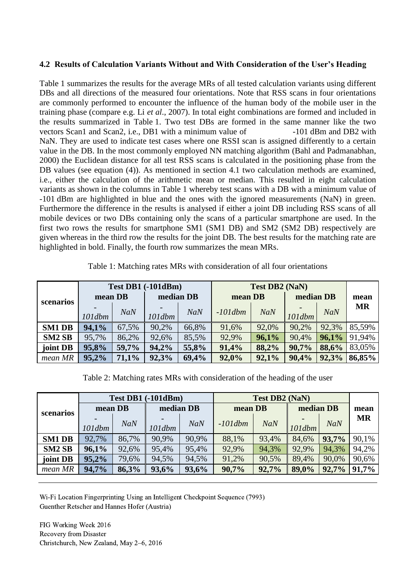#### **4.2 Results of Calculation Variants Without and With Consideration of the User's Heading**

Table 1 summarizes the results for the average MRs of all tested calculation variants using different DBs and all directions of the measured four orientations. Note that RSS scans in four orientations are commonly performed to encounter the influence of the human body of the mobile user in the training phase (compare e.g. Li *et al*., 2007). In total eight combinations are formed and included in the results summarized in Table 1. Two test DBs are formed in the same manner like the two vectors Scan1 and Scan2, i.e., DB1 with a minimum value of  $-101$  dBm and DB2 with NaN. They are used to indicate test cases where one RSSI scan is assigned differently to a certain value in the DB. In the most commonly employed NN matching algorithm (Bahl and Padmanabhan, 2000) the Euclidean distance for all test RSS scans is calculated in the positioning phase from the DB values (see equation (4)). As mentioned in section 4.1 two calculation methods are examined, i.e., either the calculation of the arithmetic mean or median. This resulted in eight calculation variants as shown in the columns in Table 1 whereby test scans with a DB with a minimum value of -101 dBm are highlighted in blue and the ones with the ignored measurements (NaN) in green. Furthermore the difference in the results is analysed if either a joint DB including RSS scans of all mobile devices or two DBs containing only the scans of a particular smartphone are used. In the first two rows the results for smartphone SM1 (SM1 DB) and SM2 (SM2 DB) respectively are given whereas in the third row the results for the joint DB. The best results for the matching rate are highlighted in bold. Finally, the fourth row summarizes the mean MRs.

| Table 1: Matching rates MRs with consideration of all four orientations |  |
|-------------------------------------------------------------------------|--|
|-------------------------------------------------------------------------|--|

|                    | <b>Test DB1 (-101dBm)</b> |            |           | <b>Test DB2 (NaN)</b> |            |            |           |            |           |
|--------------------|---------------------------|------------|-----------|-----------------------|------------|------------|-----------|------------|-----------|
| scenarios          | mean DB                   |            | median DB |                       | mean DB    |            | median DB |            | mean      |
|                    |                           | <b>NaN</b> |           | <b>NaN</b>            | $-101$ dbm | <b>NaN</b> |           | <b>NaN</b> | <b>MR</b> |
|                    | $101$ dbm                 |            | $101$ dbm |                       |            |            | $101$ dbm |            |           |
| <b>SM1 DB</b>      | 94,1%                     | 67,5%      | 90,2%     | 66,8%                 | 91,6%      | 92,0%      | 90,2%     | 92,3%      | 85,59%    |
| SM <sub>2</sub> SB | 95,7%                     | 86,2%      | 92,6%     | 85,5%                 | 92,9%      | 96,1%      | 90,4%     | 96,1%      | 91,94%    |
| joint DB           | 95,8%                     | 59,7%      | 94,2%     | 55,8%                 | 91,4%      | 88,2%      | 90,7%     | 88,6%      | 83,05%    |
| mean MR            | 95,2%                     | 71,1%      | 92,3%     | 69,4%                 | 92,0%      | 92,1%      | 90,4%     | 92,3%      | 86,85%    |

Table 2: Matching rates MRs with consideration of the heading of the user

|                    | <b>Test DB1 (-101dBm)</b> |            |           | <b>Test DB2 (NaN)</b> |            |       |           |            |           |
|--------------------|---------------------------|------------|-----------|-----------------------|------------|-------|-----------|------------|-----------|
| scenarios          | mean DB                   |            | median DB |                       | mean DB    |       | median DB |            | mean      |
|                    |                           | <b>NaN</b> |           | <b>NaN</b>            | $-101$ dbm | NaN   |           | <b>NaN</b> | <b>MR</b> |
|                    | $101$ dbm                 |            | $101$ dbm |                       |            |       | $101$ dbm |            |           |
| <b>SM1 DB</b>      | 92,7%                     | 86,7%      | 90,9%     | 90.9%                 | 88,1%      | 93,4% | 84,6%     | 93,7%      | 90,1%     |
| SM <sub>2</sub> SB | 96,1%                     | 92,6%      | 95,4%     | 95,4%                 | 92,9%      | 94,3% | 92,9%     | 94,3%      | 94,2%     |
| joint DB           | 95,2%                     | 79,6%      | 94,5%     | 94,5%                 | 91,2%      | 90,5% | 89,4%     | 90,0%      | 90,6%     |
| mean MR            | 94,7%                     | 86,3%      | 93,6%     | 93,6%                 | 90,7%      | 92,7% | 89,0%     | 92,7%      | 91,7%     |

Wi-Fi Location Fingerprinting Using an Intelligent Checkpoint Sequence (7993) Guenther Retscher and Hannes Hofer (Austria)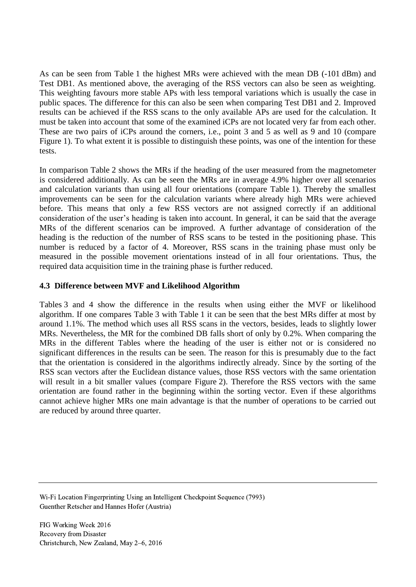As can be seen from Table 1 the highest MRs were achieved with the mean DB (-101 dBm) and Test DB1. As mentioned above, the averaging of the RSS vectors can also be seen as weighting. This weighting favours more stable APs with less temporal variations which is usually the case in public spaces. The difference for this can also be seen when comparing Test DB1 and 2. Improved results can be achieved if the RSS scans to the only available APs are used for the calculation. It must be taken into account that some of the examined iCPs are not located very far from each other. These are two pairs of iCPs around the corners, i.e., point 3 and 5 as well as 9 and 10 (compare Figure 1). To what extent it is possible to distinguish these points, was one of the intention for these tests.

In comparison Table 2 shows the MRs if the heading of the user measured from the magnetometer is considered additionally. As can be seen the MRs are in average 4.9% higher over all scenarios and calculation variants than using all four orientations (compare Table 1). Thereby the smallest improvements can be seen for the calculation variants where already high MRs were achieved before. This means that only a few RSS vectors are not assigned correctly if an additional consideration of the user's heading is taken into account. In general, it can be said that the average MRs of the different scenarios can be improved. A further advantage of consideration of the heading is the reduction of the number of RSS scans to be tested in the positioning phase. This number is reduced by a factor of 4. Moreover, RSS scans in the training phase must only be measured in the possible movement orientations instead of in all four orientations. Thus, the required data acquisition time in the training phase is further reduced.

### **4.3 Difference between MVF and Likelihood Algorithm**

Tables 3 and 4 show the difference in the results when using either the MVF or likelihood algorithm. If one compares Table 3 with Table 1 it can be seen that the best MRs differ at most by around 1.1%. The method which uses all RSS scans in the vectors, besides, leads to slightly lower MRs. Nevertheless, the MR for the combined DB falls short of only by 0.2%. When comparing the MRs in the different Tables where the heading of the user is either not or is considered no significant differences in the results can be seen. The reason for this is presumably due to the fact that the orientation is considered in the algorithms indirectly already. Since by the sorting of the RSS scan vectors after the Euclidean distance values, those RSS vectors with the same orientation will result in a bit smaller values (compare Figure 2). Therefore the RSS vectors with the same orientation are found rather in the beginning within the sorting vector. Even if these algorithms cannot achieve higher MRs one main advantage is that the number of operations to be carried out are reduced by around three quarter.

Wi-Fi Location Fingerprinting Using an Intelligent Checkpoint Sequence (7993) Guenther Retscher and Hannes Hofer (Austria)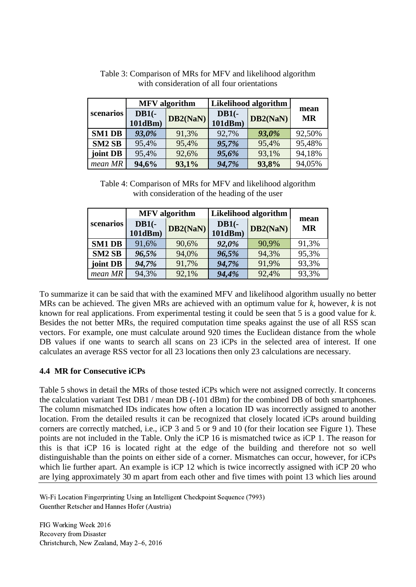|                    |                    | <b>MFV</b> algorithm | Likelihood algorithm |          |                   |  |
|--------------------|--------------------|----------------------|----------------------|----------|-------------------|--|
| scenarios          | $DB1(-$<br>101dBm) | DB2(NaN)             | $DB1(-$<br>101dBm)   | DB2(NaN) | mean<br><b>MR</b> |  |
| <b>SM1 DB</b>      | 93,0%              | 91,3%                | 92,7%                | 93,0%    | 92,50%            |  |
| SM <sub>2</sub> SB | 95,4%              | 95,4%                | 95,7%                | 95,4%    | 95,48%            |  |
| joint DB           | 95,4%              | 92,6%                | 95,6%                | 93,1%    | 94,18%            |  |
| mean MR            | 94,6%              | 93,1%                | 94,7%                | 93,8%    | 94,05%            |  |

Table 3: Comparison of MRs for MFV and likelihood algorithm with consideration of all four orientations

Table 4: Comparison of MRs for MFV and likelihood algorithm with consideration of the heading of the user

|               |                    | <b>MFV</b> algorithm | <b>Likelihood algorithm</b> |          |                   |  |
|---------------|--------------------|----------------------|-----------------------------|----------|-------------------|--|
| scenarios     | $DB1(-$<br>101dBm) | DB2(NaN)             | $DB1(-$<br>101dBm)          | DB2(NaN) | mean<br><b>MR</b> |  |
| <b>SM1 DB</b> | 91,6%              | 90,6%                | 92,0%                       | 90,9%    | 91,3%             |  |
| <b>SM2 SB</b> | 96,5%              | 94,0%                | 96,5%                       | 94,3%    | 95,3%             |  |
| joint DB      | 94,7%              | 91,7%                | 94,7%                       | 91,9%    | 93,3%             |  |
| mean MR       | 94,3%              | 92,1%                | 94,4%                       | 92,4%    | 93,3%             |  |

To summarize it can be said that with the examined MFV and likelihood algorithm usually no better MRs can be achieved. The given MRs are achieved with an optimum value for *k*, however, *k* is not known for real applications. From experimental testing it could be seen that 5 is a good value for *k*. Besides the not better MRs, the required computation time speaks against the use of all RSS scan vectors. For example, one must calculate around 920 times the Euclidean distance from the whole DB values if one wants to search all scans on 23 iCPs in the selected area of interest. If one calculates an average RSS vector for all 23 locations then only 23 calculations are necessary.

## **4.4 MR for Consecutive iCPs**

Table 5 shows in detail the MRs of those tested iCPs which were not assigned correctly. It concerns the calculation variant Test DB1 / mean DB (-101 dBm) for the combined DB of both smartphones. The column mismatched IDs indicates how often a location ID was incorrectly assigned to another location. From the detailed results it can be recognized that closely located iCPs around building corners are correctly matched, i.e., iCP 3 and 5 or 9 and 10 (for their location see Figure 1). These points are not included in the Table. Only the iCP 16 is mismatched twice as iCP 1. The reason for this is that iCP 16 is located right at the edge of the building and therefore not so well distinguishable than the points on either side of a corner. Mismatches can occur, however, for iCPs which lie further apart. An example is iCP 12 which is twice incorrectly assigned with iCP 20 who are lying approximately 30 m apart from each other and five times with point 13 which lies around

Wi-Fi Location Fingerprinting Using an Intelligent Checkpoint Sequence (7993) Guenther Retscher and Hannes Hofer (Austria)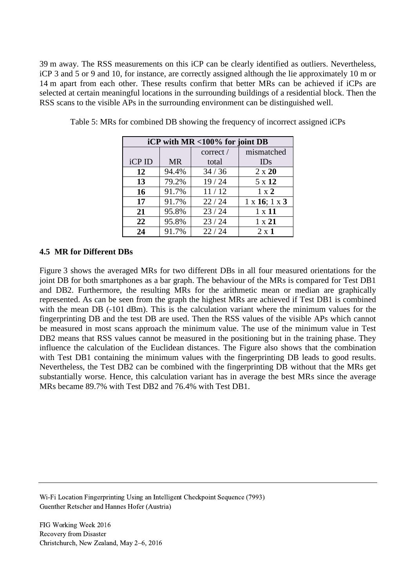39 m away. The RSS measurements on this iCP can be clearly identified as outliers. Nevertheless, iCP 3 and 5 or 9 and 10, for instance, are correctly assigned although the lie approximately 10 m or 14 m apart from each other. These results confirm that better MRs can be achieved if iCPs are selected at certain meaningful locations in the surrounding buildings of a residential block. Then the RSS scans to the visible APs in the surrounding environment can be distinguished well.

| iCP with MR <100% for joint DB |           |          |                              |  |  |  |  |
|--------------------------------|-----------|----------|------------------------------|--|--|--|--|
|                                |           | correct/ | mismatched                   |  |  |  |  |
| iCP ID                         | <b>MR</b> | total    | IDs                          |  |  |  |  |
| 12                             | 94.4%     | 34/36    | $2 \times 20$                |  |  |  |  |
| 13                             | 79.2%     | 19/24    | 5 x 12                       |  |  |  |  |
| 16                             | 91.7%     | 11/12    | $1 \times 2$                 |  |  |  |  |
| 17                             | 91.7%     | 22/24    | $1 \times 16$ ; $1 \times 3$ |  |  |  |  |
| 21                             | 95.8%     | 23/24    | $1 \times 11$                |  |  |  |  |
| 22                             | 95.8%     | 23/24    | $1 \times 21$                |  |  |  |  |
| 24                             | 91.7%     | 22/24    | $2 \times 1$                 |  |  |  |  |

Table 5: MRs for combined DB showing the frequency of incorrect assigned iCPs

#### **4.5 MR for Different DBs**

Figure 3 shows the averaged MRs for two different DBs in all four measured orientations for the joint DB for both smartphones as a bar graph. The behaviour of the MRs is compared for Test DB1 and DB2. Furthermore, the resulting MRs for the arithmetic mean or median are graphically represented. As can be seen from the graph the highest MRs are achieved if Test DB1 is combined with the mean DB (-101 dBm). This is the calculation variant where the minimum values for the fingerprinting DB and the test DB are used. Then the RSS values of the visible APs which cannot be measured in most scans approach the minimum value. The use of the minimum value in Test DB2 means that RSS values cannot be measured in the positioning but in the training phase. They influence the calculation of the Euclidean distances. The Figure also shows that the combination with Test DB1 containing the minimum values with the fingerprinting DB leads to good results. Nevertheless, the Test DB2 can be combined with the fingerprinting DB without that the MRs get substantially worse. Hence, this calculation variant has in average the best MRs since the average MRs became 89.7% with Test DB2 and 76.4% with Test DB1.

Wi-Fi Location Fingerprinting Using an Intelligent Checkpoint Sequence (7993) Guenther Retscher and Hannes Hofer (Austria)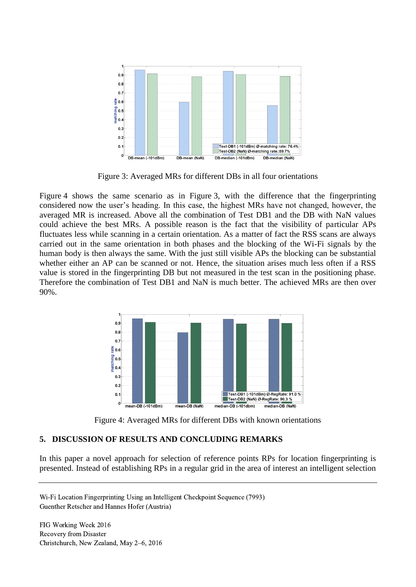

Figure 3: Averaged MRs for different DBs in all four orientations

Figure 4 shows the same scenario as in Figure 3, with the difference that the fingerprinting considered now the user's heading. In this case, the highest MRs have not changed, however, the averaged MR is increased. Above all the combination of Test DB1 and the DB with NaN values could achieve the best MRs. A possible reason is the fact that the visibility of particular APs fluctuates less while scanning in a certain orientation. As a matter of fact the RSS scans are always carried out in the same orientation in both phases and the blocking of the Wi-Fi signals by the human body is then always the same. With the just still visible APs the blocking can be substantial whether either an AP can be scanned or not. Hence, the situation arises much less often if a RSS value is stored in the fingerprinting DB but not measured in the test scan in the positioning phase. Therefore the combination of Test DB1 and NaN is much better. The achieved MRs are then over 90%.



Figure 4: Averaged MRs for different DBs with known orientations

# **5. DISCUSSION OF RESULTS AND CONCLUDING REMARKS**

In this paper a novel approach for selection of reference points RPs for location fingerprinting is presented. Instead of establishing RPs in a regular grid in the area of interest an intelligent selection

Wi-Fi Location Fingerprinting Using an Intelligent Checkpoint Sequence (7993) Guenther Retscher and Hannes Hofer (Austria)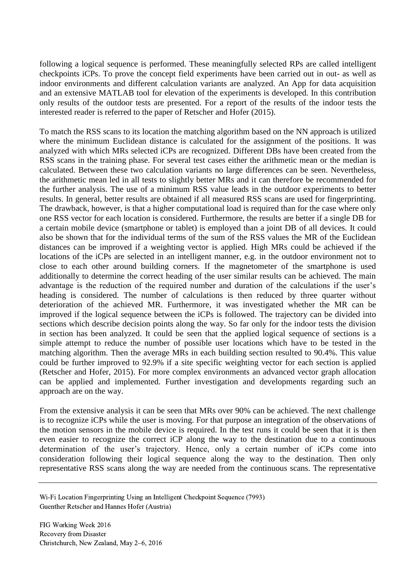following a logical sequence is performed. These meaningfully selected RPs are called intelligent checkpoints iCPs. To prove the concept field experiments have been carried out in out- as well as indoor environments and different calculation variants are analyzed. An App for data acquisition and an extensive MATLAB tool for elevation of the experiments is developed. In this contribution only results of the outdoor tests are presented. For a report of the results of the indoor tests the interested reader is referred to the paper of Retscher and Hofer (2015).

To match the RSS scans to its location the matching algorithm based on the NN approach is utilized where the minimum Euclidean distance is calculated for the assignment of the positions. It was analyzed with which MRs selected iCPs are recognized. Different DBs have been created from the RSS scans in the training phase. For several test cases either the arithmetic mean or the median is calculated. Between these two calculation variants no large differences can be seen. Nevertheless, the arithmetic mean led in all tests to slightly better MRs and it can therefore be recommended for the further analysis. The use of a minimum RSS value leads in the outdoor experiments to better results. In general, better results are obtained if all measured RSS scans are used for fingerprinting. The drawback, however, is that a higher computational load is required than for the case where only one RSS vector for each location is considered. Furthermore, the results are better if a single DB for a certain mobile device (smartphone or tablet) is employed than a joint DB of all devices. It could also be shown that for the individual terms of the sum of the RSS values the MR of the Euclidean distances can be improved if a weighting vector is applied. High MRs could be achieved if the locations of the iCPs are selected in an intelligent manner, e.g. in the outdoor environment not to close to each other around building corners. If the magnetometer of the smartphone is used additionally to determine the correct heading of the user similar results can be achieved. The main advantage is the reduction of the required number and duration of the calculations if the user's heading is considered. The number of calculations is then reduced by three quarter without deterioration of the achieved MR. Furthermore, it was investigated whether the MR can be improved if the logical sequence between the iCPs is followed. The trajectory can be divided into sections which describe decision points along the way. So far only for the indoor tests the division in section has been analyzed. It could be seen that the applied logical sequence of sections is a simple attempt to reduce the number of possible user locations which have to be tested in the matching algorithm. Then the average MRs in each building section resulted to 90.4%. This value could be further improved to 92.9% if a site specific weighting vector for each section is applied (Retscher and Hofer, 2015). For more complex environments an advanced vector graph allocation can be applied and implemented. Further investigation and developments regarding such an approach are on the way.

From the extensive analysis it can be seen that MRs over 90% can be achieved. The next challenge is to recognize iCPs while the user is moving. For that purpose an integration of the observations of the motion sensors in the mobile device is required. In the test runs it could be seen that it is then even easier to recognize the correct iCP along the way to the destination due to a continuous determination of the user's trajectory. Hence, only a certain number of iCPs come into consideration following their logical sequence along the way to the destination. Then only representative RSS scans along the way are needed from the continuous scans. The representative

Wi-Fi Location Fingerprinting Using an Intelligent Checkpoint Sequence (7993) Guenther Retscher and Hannes Hofer (Austria)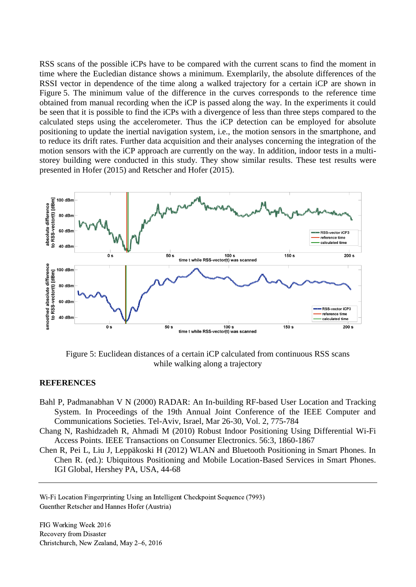RSS scans of the possible iCPs have to be compared with the current scans to find the moment in time where the Eucledian distance shows a minimum. Exemplarily, the absolute differences of the RSSI vector in dependence of the time along a walked trajectory for a certain iCP are shown in Figure 5. The minimum value of the difference in the curves corresponds to the reference time obtained from manual recording when the iCP is passed along the way. In the experiments it could be seen that it is possible to find the iCPs with a divergence of less than three steps compared to the calculated steps using the accelerometer. Thus the iCP detection can be employed for absolute positioning to update the inertial navigation system, i.e., the motion sensors in the smartphone, and to reduce its drift rates. Further data acquisition and their analyses concerning the integration of the motion sensors with the iCP approach are currently on the way. In addition, indoor tests in a multistorey building were conducted in this study. They show similar results. These test results were presented in Hofer (2015) and Retscher and Hofer (2015).



Figure 5: Euclidean distances of a certain iCP calculated from continuous RSS scans while walking along a trajectory

#### **REFERENCES**

- Bahl P, Padmanabhan V N (2000) RADAR: An In-building RF-based User Location and Tracking System. In Proceedings of the 19th Annual Joint Conference of the IEEE Computer and Communications Societies. Tel-Aviv, Israel, Mar 26-30, Vol. 2, 775-784
- Chang N, Rashidzadeh R, Ahmadi M (2010) Robust Indoor Positioning Using Differential Wi-Fi Access Points. IEEE Transactions on Consumer Electronics. 56:3, 1860-1867
- Chen R, Pei L, Liu J, Leppäkoski H (2012) WLAN and Bluetooth Positioning in Smart Phones. In Chen R. (ed.): Ubiquitous Positioning and Mobile Location-Based Services in Smart Phones. IGI Global, Hershey PA, USA, 44-68

Wi-Fi Location Fingerprinting Using an Intelligent Checkpoint Sequence (7993) Guenther Retscher and Hannes Hofer (Austria)